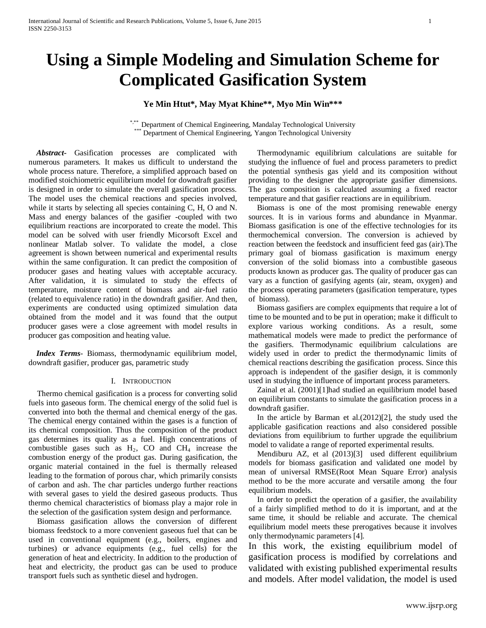# **Using a Simple Modeling and Simulation Scheme for Complicated Gasification System**

## **Ye Min Htut\*, May Myat Khine\*\*, Myo Min Win\*\*\***

\*,\*\* Department of Chemical Engineering, Mandalay Technological University \*\*\* Department of Chemical Engineering, Yangon Technological University

 *Abstract***-** Gasification processes are complicated with numerous parameters. It makes us difficult to understand the whole process nature. Therefore, a simplified approach based on modified stoichiometric equilibrium model for downdraft gasifier is designed in order to simulate the overall gasification process. The model uses the chemical reactions and species involved, while it starts by selecting all species containing C, H, O and N. Mass and energy balances of the gasifier -coupled with two equilibrium reactions are incorporated to create the model. This model can be solved with user friendly Micorsoft Excel and nonlinear Matlab solver. To validate the model, a close agreement is shown between numerical and experimental results within the same configuration. It can predict the composition of producer gases and heating values with acceptable accuracy. After validation, it is simulated to study the effects of temperature, moisture content of biomass and air-fuel ratio (related to equivalence ratio) in the downdraft gasifier. And then, experiments are conducted using optimized simulation data obtained from the model and it was found that the output producer gases were a close agreement with model results in producer gas composition and heating value.

 *Index Terms*- Biomass, thermodynamic equilibrium model, downdraft gasifier, producer gas, parametric study

#### I. INTRODUCTION

Thermo chemical gasification is a process for converting solid fuels into gaseous form. The chemical energy of the solid fuel is converted into both the thermal and chemical energy of the gas. The chemical energy contained within the gases is a function of its chemical composition. Thus the composition of the product gas determines its quality as a fuel. High concentrations of combustible gases such as  $H_2$ , CO and CH<sub>4</sub> increase the combustion energy of the product gas. During gasification, the organic material contained in the fuel is thermally released leading to the formation of porous char, which primarily consists of carbon and ash. The char particles undergo further reactions with several gases to yield the desired gaseous products. Thus thermo chemical characteristics of biomass play a major role in the selection of the gasification system design and performance.

Biomass gasification allows the conversion of different biomass feedstock to a more convenient gaseous fuel that can be used in conventional equipment (e.g., boilers, engines and turbines) or advance equipments (e.g., fuel cells) for the generation of heat and electricity. In addition to the production of heat and electricity, the product gas can be used to produce transport fuels such as synthetic diesel and hydrogen.

Thermodynamic equilibrium calculations are suitable for studying the influence of fuel and process parameters to predict the potential synthesis gas yield and its composition without providing to the designer the appropriate gasifier dimensions. The gas composition is calculated assuming a fixed reactor temperature and that gasifier reactions are in equilibrium.

Biomass is one of the most promising renewable energy sources. It is in various forms and abundance in Myanmar. Biomass gasification is one of the effective technologies for its thermochemical conversion. The conversion is achieved by reaction between the feedstock and insufficient feed gas (air).The primary goal of biomass gasification is maximum energy conversion of the solid biomass into a combustible gaseous products known as producer gas. The quality of producer gas can vary as a function of gasifying agents (air, steam, oxygen) and the process operating parameters (gasification temperature, types of biomass).

Biomass gasifiers are complex equipments that require a lot of time to be mounted and to be put in operation; make it difficult to explore various working conditions. As a result, some mathematical models were made to predict the performance of the gasifiers. Thermodynamic equilibrium calculations are widely used in order to predict the thermodynamic limits of chemical reactions describing the gasification process. Since this approach is independent of the gasifier design, it is commonly used in studying the influence of important process parameters.

Zainal et al. (2001)[1]had studied an equilibrium model based on equilibrium constants to simulate the gasification process in a downdraft gasifier.

In the article by Barman et al.(2012)[2], the study used the applicable gasification reactions and also considered possible deviations from equilibrium to further upgrade the equilibrium model to validate a range of reported experimental results.

Mendiburu AZ, et al (2013)[3] used different equilibrium models for biomass gasification and validated one model by mean of universal RMSE(Root Mean Square Error) analysis method to be the more accurate and versatile among the four equilibrium models.

In order to predict the operation of a gasifier, the availability of a fairly simplified method to do it is important, and at the same time, it should be reliable and accurate. The chemical equilibrium model meets these prerogatives because it involves only thermodynamic parameters [4].

In this work, the existing equilibrium model of gasification process is modified by correlations and validated with existing published experimental results and models. After model validation, the model is used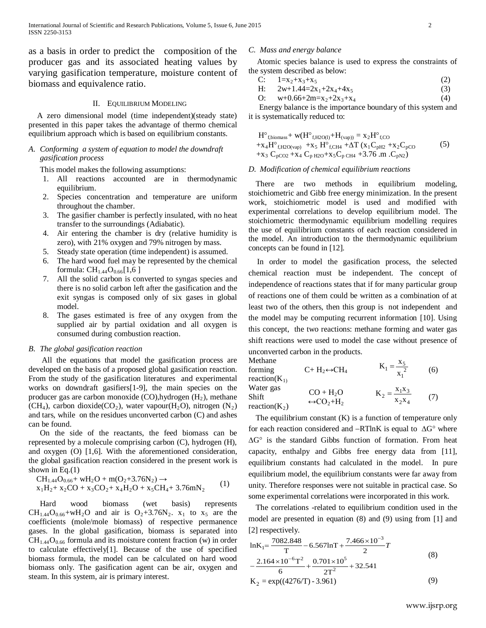as a basis in order to predict the composition of the producer gas and its associated heating values by varying gasification temperature, moisture content of biomass and equivalence ratio.

## II. EQUILIBRIUM MODELING

A zero dimensional model (time independent)(steady state) presented in this paper takes the advantage of thermo chemical equilibrium approach which is based on equilibrium constants.

## *A. Conforming a system of equation to model the downdraft gasification process*

This model makes the following assumptions:

- 1. All reactions accounted are in thermodynamic equilibrium.
- 2. Species concentration and temperature are uniform throughout the chamber.
- 3. The gasifier chamber is perfectly insulated, with no heat transfer to the surroundings (Adiabatic).
- 4. Air entering the chamber is dry (relative humidity is zero), with 21% oxygen and 79% nitrogen by mass.
- 5. Steady state operation (time independent) is assumed.
- 6. The hard wood fuel may be represented by the chemical formula:  $CH_{1.44}O_{0.66}[1,6]$
- 7. All the solid carbon is converted to syngas species and there is no solid carbon left after the gasification and the exit syngas is composed only of six gases in global model.
- 8. The gases estimated is free of any oxygen from the supplied air by partial oxidation and all oxygen is consumed during combustion reaction.

#### *B. The global gasification reaction*

All the equations that model the gasification process are developed on the basis of a proposed global gasification reaction. From the study of the gasification literatures and experimental works on downdraft gasifiers[1-9], the main species on the producer gas are carbon monoxide  $(CO)$ , hydrogen  $(H<sub>2</sub>)$ , methane (CH<sub>4</sub>), carbon dioxide(CO<sub>2</sub>), water vapour(H<sub>2</sub>O), nitrogen (N<sub>2</sub>) and tars, while on the residues unconverted carbon (C) and ashes can be found.

On the side of the reactants, the feed biomass can be represented by a molecule comprising carbon (C), hydrogen (H), and oxygen (O) [1,6]. With the aforementioned consideration, the global gasification reaction considered in the present work is shown in Eq. $(1)$ 

$$
CH_{1.44}O_{0.66} + wH_2O + m(O_2 + 3.76N_2) \rightarrow
$$
  
x<sub>1</sub>H<sub>2</sub>+ x<sub>2</sub>CO + x<sub>3</sub>CO<sub>2</sub>+ x<sub>4</sub>H<sub>2</sub>O + x<sub>5</sub>CH<sub>4</sub>+ 3.76mN<sub>2</sub> (1)

Hard wood biomass (wet basis) represents  $CH_{1.44}O_{0.66}$ +wH<sub>2</sub>O and air is  $O_2$ +3.76N<sub>2</sub>. x<sub>1</sub> to x<sub>5</sub> are the coefficients (mole/mole biomass) of respective permanence gases. In the global gasification, biomass is separated into  $CH<sub>1.44</sub>O<sub>0.66</sub>$  formula and its moisture content fraction (w) in order to calculate effectively[1]. Because of the use of specified biomass formula, the model can be calculated on hard wood biomass only. The gasification agent can be air, oxygen and steam. In this system, air is primary interest.

#### *C. Mass and energy balance*

Atomic species balance is used to express the constraints of the system described as below:

$$
C: \t1=x_2+x_3+x_5 \t(2)
$$

H: 
$$
2w+1.44=2x_1+2x_4+4x_5
$$
 (3)

$$
O: \t w+0.66+2m=x_2+2x_3+x_4 \t(4)
$$

Energy balance is the importance boundary of this system and it is systematically reduced to:

$$
H^{\circ}_{\text{fbiomass}} + w(H^{\circ}_{\text{f,H2O(l)}} + H_{\text{(vap)})} = x_2 H^{\circ}_{\text{f,CO}} + x_4 H^{\circ}_{\text{f,H2O(vap)}} + x_5 H^{\circ}_{\text{f,CH4}} + \Delta T (x_1 C_{\text{pH2}} + x_2 C_{\text{pCO}} + x_3 C_{\text{pCO2}} + x_4 C_{\text{p H2O}} + x_5 C_{\text{p CH4}} + 3.76 \text{ .m } .C_{\text{pN2}})
$$
(5)

#### *D. Modification of chemical equilibrium reactions*

There are two methods in equilibrium modeling, stoichiometric and Gibb free energy minimization. In the present work, stoichiometric model is used and modified with experimental correlations to develop equilibrium model. The stoichiometric thermodynamic equilibrium modelling requires the use of equilibrium constants of each reaction considered in the model. An introduction to the thermodynamic equilibrium concepts can be found in [12].

In order to model the gasification process, the selected chemical reaction must be independent. The concept of independence of reactions states that if for many particular group of reactions one of them could be written as a combination of at least two of the others, then this group is not independent and the model may be computing recurrent information [10]. Using this concept, the two reactions: methane forming and water gas shift reactions were used to model the case without presence of unconverted carbon in the products.

Methane forming reaction $(K_1)$  $C+ H_2 \leftrightarrow CH_4$   $R_1 = \frac{R_1}{X_1^2}$  $K_1 = \frac{x_5}{x_1^2}$  (6) Water gas Shift reaction $(K_2)$  $CO + H<sub>2</sub>O$  $\leftrightarrow$ CO<sub>2</sub>+H<sub>2</sub>  $X_2X_4$  $K_2 = \frac{x_1 x_3}{x_2 x_4}$  (7)

The equilibrium constant  $(K)$  is a function of temperature only for each reaction considered and −RTlnK is equal to ∆G° where ∆G° is the standard Gibbs function of formation. From heat capacity, enthalpy and Gibbs free energy data from [11], equilibrium constants had calculated in the model. In pure equilibrium model, the equilibrium constants were far away from unity. Therefore responses were not suitable in practical case. So some experimental correlations were incorporated in this work.

The correlations -related to equilibrium condition used in the model are presented in equation (8) and (9) using from [1] and [2] respectively.

lnK<sub>1</sub>=
$$
\frac{7082.848}{T} - 6.567 \text{ln}T + \frac{7.466 \times 10^{-3}}{2}T
$$
  

$$
-\frac{2.164 \times 10^{-6} T^2}{T} + \frac{0.701 \times 10^5}{2} + 32.541
$$
 (8)

$$
6 \t 2T^2
$$
  
K<sub>2</sub> = exp((4276/T) - 3.961) (9)

 $\epsilon$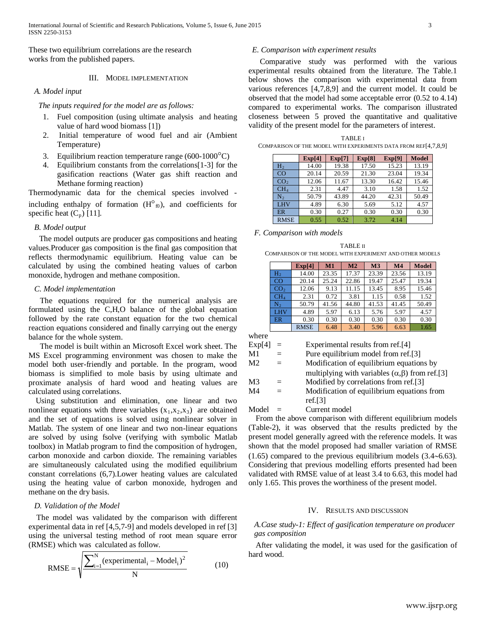These two equilibrium correlations are the research works from the published papers.

## III. MODEL IMPLEMENTATION

## *A. Model input*

 *The inputs required for the model are as follows:*

- 1. Fuel composition (using ultimate analysis and heating value of hard wood biomass [1])
- 2. Initial temperature of wood fuel and air (Ambient Temperature)
- 3. Equilibrium reaction temperature range (600-1000°C)
- 4. Equilibrium constants from the correlations[1-3] for the gasification reactions (Water gas shift reaction and Methane forming reaction)

Thermodynamic data for the chemical species involved including enthalpy of formation  $(H^{\circ}_{f0})$ , and coefficients for specific heat  $(C_p)$  [11].

### *B. Model output*

The model outputs are producer gas compositions and heating values.Producer gas composition is the final gas composition that reflects thermodynamic equilibrium. Heating value can be calculated by using the combined heating values of carbon monoxide, hydrogen and methane composition.

#### *C. Model implementation*

The equations required for the numerical analysis are formulated using the C,H,O balance of the global equation followed by the rate constant equation for the two chemical reaction equations considered and finally carrying out the energy balance for the whole system.

The model is built within an Microsoft Excel work sheet. The MS Excel programming environment was chosen to make the model both user-friendly and portable. In the program, wood biomass is simplified to mole basis by using ultimate and proximate analysis of hard wood and heating values are calculated using correlations.

Using substitution and elimination, one linear and two nonlinear equations with three variables  $(x_1, x_2, x_3)$  are obtained and the set of equations is solved using nonlinear solver in Matlab. The system of one linear and two non-linear equations are solved by using fsolve (verifying with symbolic Matlab toolbox) in Matlab program to find the composition of hydrogen, carbon monoxide and carbon dioxide. The remaining variables are simultaneously calculated using the modified equilibrium constant correlations (6,7).Lower heating values are calculated using the heating value of carbon monoxide, hydrogen and methane on the dry basis.

## *D. Validation of the Model*

 The model was validated by the comparison with different experimental data in ref [4,5,7-9] and models developed in ref [3] using the universal testing method of root mean square error (RMSE) which was calculated as follow.

RMSE = 
$$
\sqrt{\frac{\sum_{i=1}^{N} (experimental_i - Model_i)^2}{N}}
$$
 (10)

## *E. Comparison with experiment results*

Comparative study was performed with the various experimental results obtained from the literature. The Table.1 below shows the comparison with experimental data from various references [4,7,8,9] and the current model. It could be observed that the model had some acceptable error (0.52 to 4.14) compared to experimental works. The comparison illustrated closeness between 5 proved the quantitative and qualitative validity of the present model for the parameters of interest.

| <b>TABLE I</b>                                                  |
|-----------------------------------------------------------------|
| COMPARISON OF THE MODEL WITH EXPERIMENTS DATA FROM REF[4,7,8,9] |

|                 | Exp[4] | Exp[7] | Exp[8] | Exp[9] | <b>Model</b> |
|-----------------|--------|--------|--------|--------|--------------|
| H <sub>2</sub>  | 14.00  | 19.38  | 17.50  | 15.23  | 13.19        |
| CO              | 20.14  | 20.59  | 21.30  | 23.04  | 19.34        |
| CO <sub>2</sub> | 12.06  | 11.67  | 13.30  | 16.42  | 15.46        |
| CH <sub>4</sub> | 2.31   | 4.47   | 3.10   | 1.58   | 1.52         |
| N <sub>2</sub>  | 50.79  | 43.89  | 44.20  | 42.31  | 50.49        |
| <b>LHV</b>      | 4.89   | 6.30   | 5.69   | 5.12   | 4.57         |
| <b>ER</b>       | 0.30   | 0.27   | 0.30   | 0.30   | 0.30         |
| <b>RMSE</b>     | 0.55   | 0.52   | 3.72   | 4.14   |              |

#### *F. Comparison with models*

| TABLE II                                                 |
|----------------------------------------------------------|
| COMPARISON OF THE MODEL WITH EXPERIMENT AND OTHER MODELS |

|                 | Exp[4]      | M1    | M <sub>2</sub> | M <sub>3</sub> | M <sub>4</sub> | <b>Model</b> |
|-----------------|-------------|-------|----------------|----------------|----------------|--------------|
| H <sub>2</sub>  | 14.00       | 23.35 | 17.37          | 23.39          | 23.56          | 13.19        |
| CO              | 20.14       | 25.24 | 22.86          | 19.47          | 25.47          | 19.34        |
| CO <sub>2</sub> | 12.06       | 9.13  | 11.15          | 13.45          | 8.95           | 15.46        |
| CH <sub>4</sub> | 2.31        | 0.72  | 3.81           | 1.15           | 0.58           | 1.52         |
| N <sub>2</sub>  | 50.79       | 41.56 | 44.80          | 41.53          | 41.45          | 50.49        |
| <b>LHV</b>      | 4.89        | 5.97  | 6.13           | 5.76           | 5.97           | 4.57         |
| ER              | 0.30        | 0.30  | 0.30           | 0.30           | 0.30           | 0.30         |
|                 | <b>RMSE</b> | 6.48  | 3.40           | 5.96           | 6.63           | 1.65         |

where

| Exp[4] |     | Experimental results from ref.[4]                         |
|--------|-----|-----------------------------------------------------------|
| M1     |     | Pure equilibrium model from ref.[3]                       |
| M2     |     | Modification of equilibrium equations by                  |
|        |     | multiplying with variables $(\alpha, \beta)$ from ref.[3] |
| M3     | $=$ | Modified by correlations from ref.[3]                     |
| M4     |     | Modification of equilibrium equations from                |
|        |     | ref.[3]                                                   |
| Model  |     | Current model                                             |

From the above comparison with different equilibrium models (Table-2), it was observed that the results predicted by the present model generally agreed with the reference models. It was shown that the model proposed had smaller variation of RMSE (1.65) compared to the previous equilibrium models (3.4∼6.63). Considering that previous modelling efforts presented had been validated with RMSE value of at least 3.4 to 6.63, this model had only 1.65. This proves the worthiness of the present model.

## IV. RESULTS AND DISCUSSION

## *A.Case study-1: Effect of gasification temperature on producer gas composition*

After validating the model, it was used for the gasification of hard wood.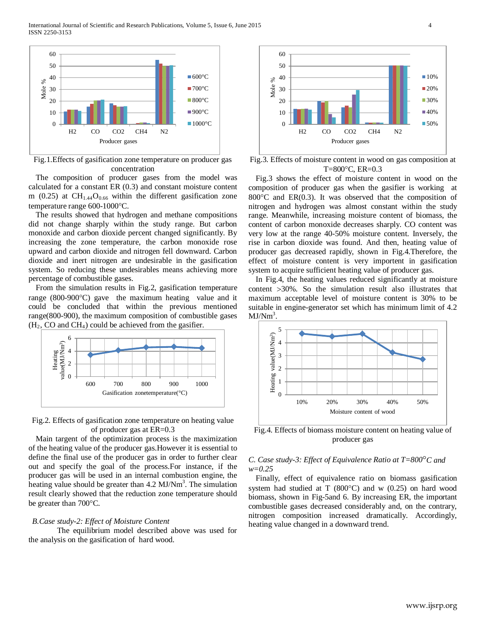International Journal of Scientific and Research Publications, Volume 5, Issue 6, June 2015 4 ISSN 2250-3153



Fig.1.Effects of gasification zone temperature on producer gas concentration

The composition of producer gases from the model was calculated for a constant ER (0.3) and constant moisture content m (0.25) at  $CH<sub>1.44</sub>O<sub>0.66</sub>$  within the different gasification zone temperature range 600-1000°C.

The results showed that hydrogen and methane compositions did not change sharply within the study range. But carbon monoxide and carbon dioxide percent changed significantly. By increasing the zone temperature, the carbon monoxide rose upward and carbon dioxide and nitrogen fell downward. Carbon dioxide and inert nitrogen are undesirable in the gasification system. So reducing these undesirables means achieving more percentage of combustible gases.

From the simulation results in Fig.2, gasification temperature range (800-900°C) gave the maximum heating value and it could be concluded that within the previous mentioned range(800-900), the maximum composition of combustible gases  $(H_2, CO \text{ and } CH_4)$  could be achieved from the gasifier.



Fig.2. Effects of gasification zone temperature on heating value of producer gas at ER=0.3

Main targent of the optimization process is the maximization of the heating value of the producer gas.However it is essential to define the final use of the producer gas in order to further clear out and specify the goal of the process.For instance, if the producer gas will be used in an internal combustion engine, the heating value should be greater than 4.2 MJ/Nm<sup>3</sup>. The simulation result clearly showed that the reduction zone temperature should be greater than 700°C.

#### *B.Case study-2: Effect of Moisture Content*

The equilibrium model described above was used for the analysis on the gasification of hard wood.



Fig.3. Effects of moisture content in wood on gas composition at T=800°C, ER=0.3

Fig.3 shows the effect of moisture content in wood on the composition of producer gas when the gasifier is working at 800°C and ER(0.3). It was observed that the composition of nitrogen and hydrogen was almost constant within the study range. Meanwhile, increasing moisture content of biomass, the content of carbon monoxide decreases sharply. CO content was very low at the range 40-50% moisture content. Inversely, the rise in carbon dioxide was found. And then, heating value of producer gas decreased rapidly, shown in Fig.4.Therefore, the effect of moisture content is very importent in gasification system to acquire sufficient heating value of producer gas.

In Fig.4, the heating values reduced significantly at moisture content >30%. So the simulation result also illustrates that maximum acceptable level of moisture content is 30% to be suitable in engine-generator set which has minimum limit of 4.2  $MJ/Nm<sup>3</sup>$ .



Fig.4. Effects of biomass moisture content on heating value of producer gas

## *C. Case study-3: Effect of Equivalence Ratio at T=800*°*C and w=0.25*

Finally, effect of equivalence ratio on biomass gasification system had studied at  $T(800^{\circ}C)$  and w  $(0.25)$  on hard wood biomass, shown in Fig-5and 6. By increasing ER, the important combustible gases decreased considerably and, on the contrary, nitrogen composition increased dramatically. Accordingly, heating value changed in a downward trend.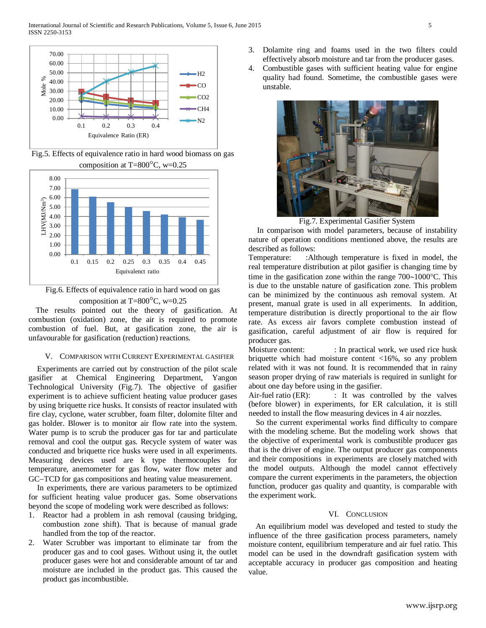

Fig.5. Effects of equivalence ratio in hard wood biomass on gas composition at  $T=800^{\circ}$ C, w=0.25



Fig.6. Effects of equivalence ratio in hard wood on gas composition at  $T=800^{\circ}$ C, w=0.25

The results pointed out the theory of gasification. At combustion (oxidation) zone, the air is required to promote combustion of fuel. But, at gasification zone, the air is unfavourable for gasification (reduction) reactions.

#### V. COMPARISON WITH CURRENT EXPERIMENTAL GASIFIER

Experiments are carried out by construction of the pilot scale gasifier at Chemical Engineering Department, Yangon Technological University (Fig.7). The objective of gasifier experiment is to achieve sufficient heating value producer gases by using briquette rice husks. It consists of reactor insulated with fire clay, cyclone, water scrubber, foam filter, dolomite filter and gas holder. Blower is to monitor air flow rate into the system. Water pump is to scrub the producer gas for tar and particulate removal and cool the output gas. Recycle system of water was conducted and briquette rice husks were used in all experiments. Measuring devices used are k type thermocouples for temperature, anemometer for gas flow, water flow meter and GC−TCD for gas compositions and heating value measurement.

In experiments, there are various parameters to be optimized for sufficient heating value producer gas. Some observations beyond the scope of modeling work were described as follows:

- 1. Reactor had a problem in ash removal (causing bridging, combustion zone shift). That is because of manual grade handled from the top of the reactor.
- 2. Water Scrubber was important to eliminate tar from the producer gas and to cool gases. Without using it, the outlet producer gases were hot and considerable amount of tar and moisture are included in the product gas. This caused the product gas incombustible.
- 3. Dolamite ring and foams used in the two filters could effectively absorb moisture and tar from the producer gases.
- 4. Combustible gases with sufficient heating value for engine quality had found. Sometime, the combustible gases were unstable.



Fig.7. Experimental Gasifier System

In comparison with model parameters, because of instability nature of operation conditions mentioned above, the results are described as follows:

Temperature: :Although temperature is fixed in model, the real temperature distribution at pilot gasifier is changing time by time in the gasification zone within the range 700∼1000°C. This is due to the unstable nature of gasification zone. This problem can be minimized by the continuous ash removal system. At present, manual grate is used in all experiments. In addition, temperature distribution is directly proportional to the air flow rate. As excess air favors complete combustion instead of gasification, careful adjustment of air flow is required for producer gas.

Moisture content: : In practical work, we used rice husk briquette which had moisture content <16%, so any problem related with it was not found. It is recommended that in rainy season proper drying of raw materials is required in sunlight for about one day before using in the gasifier.

Air-fuel ratio  $(ER)$ :  $\qquad$  : It was controlled by the valves (before blower) in experiments, for ER calculation, it is still needed to install the flow measuring devices in 4 air nozzles.

So the current experimental works find difficulty to compare with the modeling scheme. But the modeling work shows that the objective of experimental work is combustible producer gas that is the driver of engine. The output producer gas components and their compositions in experiments are closely matched with the model outputs. Although the model cannot effectively compare the current experiments in the parameters, the objection function, producer gas quality and quantity, is comparable with the experiment work.

## VI. CONCLUSION

An equilibrium model was developed and tested to study the influence of the three gasification process parameters, namely moisture content, equilibrium temperature and air fuel ratio. This model can be used in the downdraft gasification system with acceptable accuracy in producer gas composition and heating value.